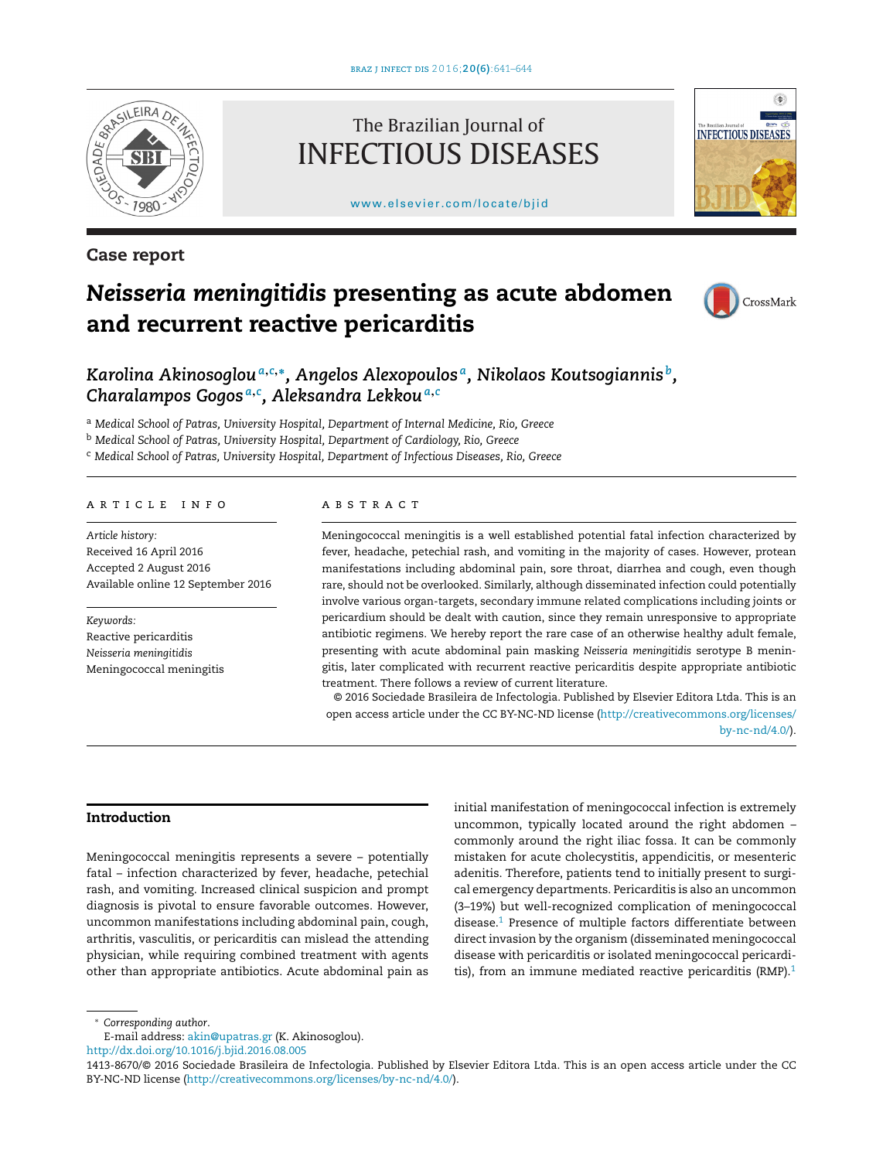

**Case report**

## The Brazilian Journal of INFECTIOUS DISEASES

[www.elsevier.com/locate/bjid](http://www.elsevier.com/locate/bjid)



# *Neisseria meningitidis* **presenting as acute abdomen and recurrent reactive pericarditis**



*Karolina Akinosoglou<sup>a</sup>***,***c***,∗***, Angelos Alexopoulos a, Nikolaos Koutsogiannis b, Charalampos Gogos <sup>a</sup>***,***<sup>c</sup> , Aleksandra Lekkou<sup>a</sup>***,***<sup>c</sup>*

<sup>a</sup> *Medical School of Patras, University Hospital, Department of Internal Medicine, Rio, Greece*

<sup>b</sup> *Medical School of Patras, University Hospital, Department of Cardiology, Rio, Greece*

<sup>c</sup> *Medical School of Patras, University Hospital, Department of Infectious Diseases, Rio, Greece*

## a r t i c l e i n f o

*Article history:* Received 16 April 2016 Accepted 2 August 2016 Available online 12 September 2016

*Keywords:* Reactive pericarditis *Neisseria meningitidis* Meningococcal meningitis

## A B S T R A C T

Meningococcal meningitis is a well established potential fatal infection characterized by fever, headache, petechial rash, and vomiting in the majority of cases. However, protean manifestations including abdominal pain, sore throat, diarrhea and cough, even though rare, should not be overlooked. Similarly, although disseminated infection could potentially involve various organ-targets, secondary immune related complications including joints or pericardium should be dealt with caution, since they remain unresponsive to appropriate antibiotic regimens. We hereby report the rare case of an otherwise healthy adult female, presenting with acute abdominal pain masking *Neisseria meningitidis* serotype B meningitis, later complicated with recurrent reactive pericarditis despite appropriate antibiotic treatment. There follows a review of current literature.

© 2016 Sociedade Brasileira de Infectologia. Published by Elsevier Editora Ltda. This is an open access article under the CC BY-NC-ND license [\(http://creativecommons.org/licenses/](http://creativecommons.org/licenses/by-nc-nd/4.0/) [by-nc-nd/4.0/\)](http://creativecommons.org/licenses/by-nc-nd/4.0/).

#### **Introduction**

Meningococcal meningitis represents a severe – potentially fatal – infection characterized by fever, headache, petechial rash, and vomiting. Increased clinical suspicion and prompt diagnosis is pivotal to ensure favorable outcomes. However, uncommon manifestations including abdominal pain, cough, arthritis, vasculitis, or pericarditis can mislead the attending physician, while requiring combined treatment with agents other than appropriate antibiotics. Acute abdominal pain as

initial manifestation of meningococcal infection is extremely uncommon, typically located around the right abdomen – commonly around the right iliac fossa. It can be commonly mistaken for acute cholecystitis, appendicitis, or mesenteric adenitis. Therefore, patients tend to initially present to surgical emergency departments. Pericarditis is also an uncommon (3–19%) but well-recognized complication of meningococcal disease.<sup>1</sup> Presence of multiple factors differentiate between direct invasion by the organism (disseminated meningococcal disease with pericarditis or isolated meningococcal pericarditis), from an immune mediated reactive pericarditis  $(RMP)$ .<sup>1</sup>

∗ *Corresponding author*.

E-mail address: [akin@upatras.gr](mailto:akin@upatras.gr) (K. Akinosoglou).

[http://dx.doi.org/10.1016/j.bjid.2016.08.005](dx.doi.org/10.1016/j.bjid.2016.08.005)

<sup>1413-8670/©</sup> 2016 Sociedade Brasileira de Infectologia. Published by Elsevier Editora Ltda. This is an open access article under the CC BY-NC-ND license (<http://creativecommons.org/licenses/by-nc-nd/4.0/>).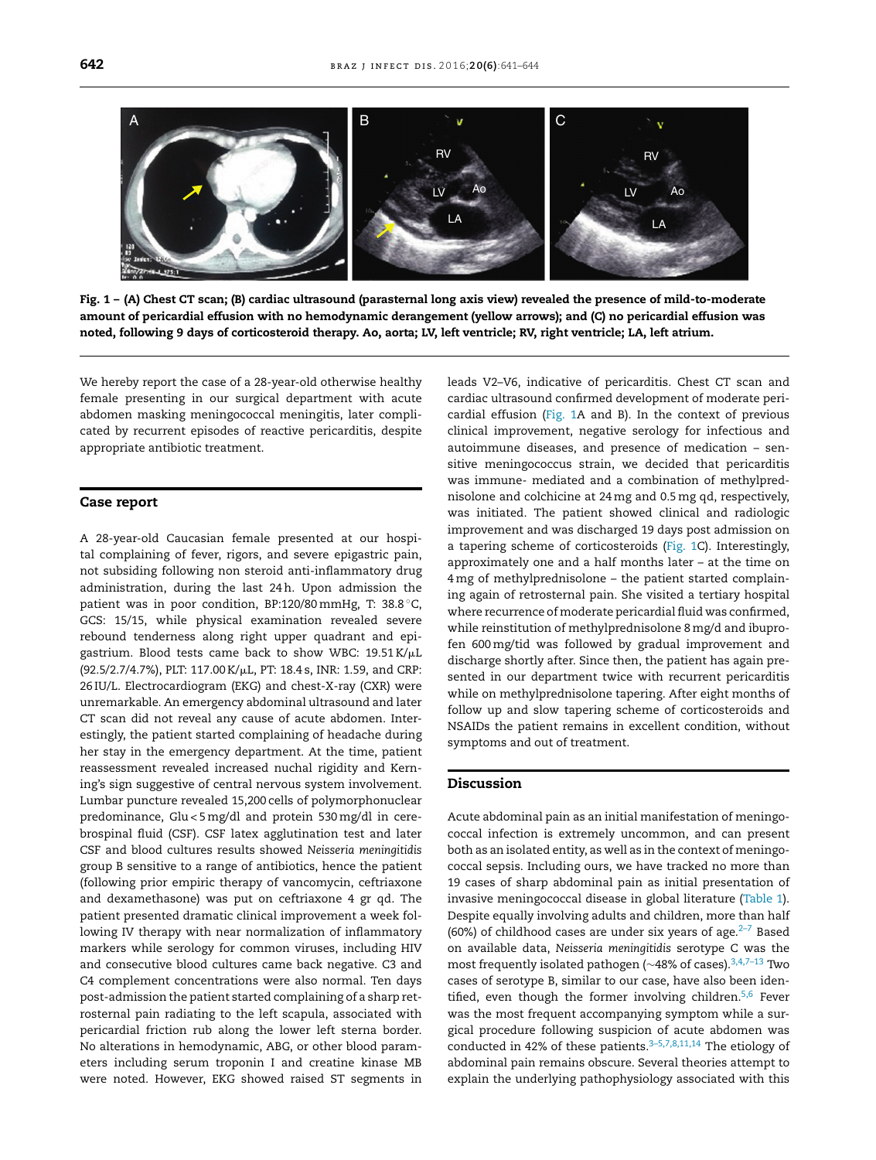

Fig. 1 - (A) Chest CT scan; (B) cardiac ultrasound (parasternal long axis view) revealed the presence of mild-to-moderate amount of pericardial effusion with no hemodynamic derangement (yellow arrows); and (C) no pericardial effusion was noted, following 9 days of corticosteroid therapy. Ao, aorta; LV, left ventricle; RV, right ventricle; LA, left atrium.

We hereby report the case of a 28-year-old otherwise healthy female presenting in our surgical department with acute abdomen masking meningococcal meningitis, later complicated by recurrent episodes of reactive pericarditis, despite appropriate antibiotic treatment.

#### **Case report**

A 28-year-old Caucasian female presented at our hospital complaining of fever, rigors, and severe epigastric pain, not subsiding following non steroid anti-inflammatory drug administration, during the last 24h. Upon admission the patient was in poor condition, BP:120/80mmHg, T: 38.8 ◦C, GCS: 15/15, while physical examination revealed severe rebound tenderness along right upper quadrant and epigastrium. Blood tests came back to show WBC: 19.51 K/ $\mu$ L (92.5/2.7/4.7%), PLT: 117.00 K/µL, PT: 18.4 s, INR: 1.59, and CRP: 26 IU/L. Electrocardiogram (EKG) and chest-X-ray (CXR) were unremarkable. An emergency abdominal ultrasound and later CT scan did not reveal any cause of acute abdomen. Interestingly, the patient started complaining of headache during her stay in the emergency department. At the time, patient reassessment revealed increased nuchal rigidity and Kerning's sign suggestive of central nervous system involvement. Lumbar puncture revealed 15,200 cells of polymorphonuclear predominance, Glu < 5mg/dl and protein 530mg/dl in cerebrospinal fluid (CSF). CSF latex agglutination test and later CSF and blood cultures results showed *Neisseria meningitidis* group B sensitive to a range of antibiotics, hence the patient (following prior empiric therapy of vancomycin, ceftriaxone and dexamethasone) was put on ceftriaxone 4 gr qd. The patient presented dramatic clinical improvement a week following IV therapy with near normalization of inflammatory markers while serology for common viruses, including HIV and consecutive blood cultures came back negative. C3 and C4 complement concentrations were also normal. Ten days post-admission the patient started complaining of a sharp retrosternal pain radiating to the left scapula, associated with pericardial friction rub along the lower left sterna border. No alterations in hemodynamic, ABG, or other blood parameters including serum troponin I and creatine kinase MB were noted. However, EKG showed raised ST segments in leads V2–V6, indicative of pericarditis. Chest CT scan and cardiac ultrasound confirmed development of moderate pericardial effusion (Fig. 1A and B). In the context of previous clinical improvement, negative serology for infectious and autoimmune diseases, and presence of medication – sensitive meningococcus strain, we decided that pericarditis was immune- mediated and a combination of methylprednisolone and colchicine at 24mg and 0.5mg qd, respectively, was initiated. The patient showed clinical and radiologic improvement and was discharged 19 days post admission on a tapering scheme of corticosteroids (Fig. 1C). Interestingly, approximately one and a half months later – at the time on 4mg of methylprednisolone – the patient started complaining again of retrosternal pain. She visited a tertiary hospital where recurrence of moderate pericardial fluid was confirmed, while reinstitution of methylprednisolone 8mg/d and ibuprofen 600mg/tid was followed by gradual improvement and discharge shortly after. Since then, the patient has again presented in our department twice with recurrent pericarditis while on methylprednisolone tapering. After eight months of follow up and slow tapering scheme of corticosteroids and NSAIDs the patient remains in excellent condition, without symptoms and out of treatment.

## **Discussion**

Acute abdominal pain as an initial manifestation of meningococcal infection is extremely uncommon, and can present both as an isolated entity, as well as in the context of meningococcal sepsis. Including ours, we have tracked no more than 19 cases of sharp abdominal pain as initial presentation of invasive meningococcal disease in global literature ([Table](#page-2-0) 1). Despite equally involving adults and children, more than half (60%) of childhood cases are under six years of age. $2-7$  Based on available data, *Neisseria meningitidis* serotype C was the most frequently isolated pathogen (~48% of cases).<sup>3,4,7-13</sup> Two cases of serotype B, similar to our case, have also been identified, even though the former involving children. $5,6$  Fever was the most frequent accompanying symptom while a surgical procedure following suspicion of acute abdomen was conducted in 42% of these patients. $3-5,7,8,11,14$  The etiology of abdominal pain remains obscure. Several theories attempt to explain the underlying pathophysiology associated with this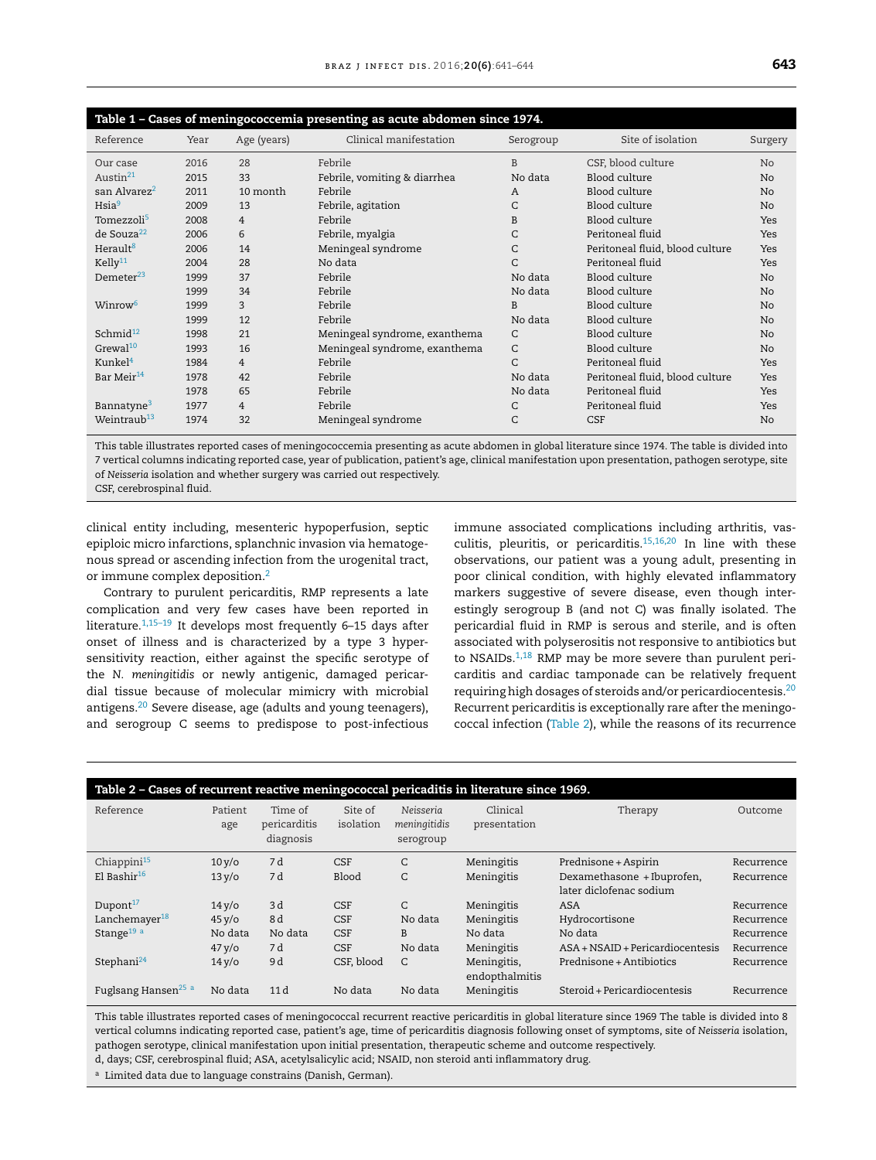<span id="page-2-0"></span>

| Table 1 - Cases of meningococcemia presenting as acute abdomen since 1974. |      |                |                               |              |                                 |                |  |  |  |  |  |  |  |
|----------------------------------------------------------------------------|------|----------------|-------------------------------|--------------|---------------------------------|----------------|--|--|--|--|--|--|--|
| Reference                                                                  | Year | Age (years)    | Clinical manifestation        | Serogroup    | Site of isolation               | Surgery        |  |  |  |  |  |  |  |
| Our case                                                                   | 2016 | 28             | Febrile                       | B            | CSF, blood culture              | N <sub>o</sub> |  |  |  |  |  |  |  |
| Austin <sup>21</sup>                                                       | 2015 | 33             | Febrile, vomiting & diarrhea  | No data      | Blood culture                   | N <sub>o</sub> |  |  |  |  |  |  |  |
| san Alvarez <sup>2</sup>                                                   | 2011 | 10 month       | Febrile                       | A            | Blood culture                   | No             |  |  |  |  |  |  |  |
| $H$ sia $9$                                                                | 2009 | 13             | Febrile, agitation            | C            | Blood culture                   | No             |  |  |  |  |  |  |  |
| Tomezzoli <sup>5</sup>                                                     | 2008 | $\overline{4}$ | Febrile                       | B            | Blood culture                   | Yes            |  |  |  |  |  |  |  |
| de Souza <sup>22</sup>                                                     | 2006 | 6              | Febrile, myalgia              | C            | Peritoneal fluid                | Yes            |  |  |  |  |  |  |  |
| Herault <sup>8</sup>                                                       | 2006 | 14             | Meningeal syndrome            | C            | Peritoneal fluid, blood culture | Yes            |  |  |  |  |  |  |  |
| Kelly <sup>11</sup>                                                        | 2004 | 28             | No data                       | $\mathsf{C}$ | Peritoneal fluid                | Yes            |  |  |  |  |  |  |  |
| Demeter $^{23}$                                                            | 1999 | 37             | Febrile                       | No data      | Blood culture                   | N <sub>o</sub> |  |  |  |  |  |  |  |
|                                                                            | 1999 | 34             | Febrile                       | No data      | Blood culture                   | N <sub>o</sub> |  |  |  |  |  |  |  |
| Winrow <sup>6</sup>                                                        | 1999 | 3              | Febrile                       | B            | Blood culture                   | No             |  |  |  |  |  |  |  |
|                                                                            | 1999 | 12             | Febrile                       | No data      | Blood culture                   | No             |  |  |  |  |  |  |  |
| Schmid $12$                                                                | 1998 | 21             | Meningeal syndrome, exanthema | C            | Blood culture                   | N <sub>o</sub> |  |  |  |  |  |  |  |
| Grewal <sup>10</sup>                                                       | 1993 | 16             | Meningeal syndrome, exanthema | C            | Blood culture                   | No             |  |  |  |  |  |  |  |
| Kunkel <sup>4</sup>                                                        | 1984 | $\overline{4}$ | Febrile                       | C            | Peritoneal fluid                | Yes            |  |  |  |  |  |  |  |
| Bar Meir <sup>14</sup>                                                     | 1978 | 42             | Febrile                       | No data      | Peritoneal fluid, blood culture | Yes            |  |  |  |  |  |  |  |
|                                                                            | 1978 | 65             | Febrile                       | No data      | Peritoneal fluid                | Yes            |  |  |  |  |  |  |  |
| Bannatyne <sup>3</sup>                                                     | 1977 | $\overline{4}$ | Febrile                       | C            | Peritoneal fluid                | Yes            |  |  |  |  |  |  |  |
| Weintraub <sup>13</sup>                                                    | 1974 | 32             | Meningeal syndrome            | C            | <b>CSF</b>                      | N <sub>o</sub> |  |  |  |  |  |  |  |

This table illustrates reported cases of meningococcemia presenting as acute abdomen in global literature since 1974. The table is divided into 7 vertical columns indicating reported case, year of publication, patient's age, clinical manifestation upon presentation, pathogen serotype, site of *Neisseria* isolation and whether surgery was carried out respectively.

CSF, cerebrospinal fluid.

clinical entity including, mesenteric hypoperfusion, septic epiploic micro infarctions, splanchnic invasion via hematogenous spread or ascending infection from the urogenital tract, or immune complex deposition.[2](#page-3-0)

Contrary to purulent pericarditis, RMP represents a late complication and very few cases have been reported in literature[.1,15–19](#page-3-0) It develops most frequently 6–15 days after onset of illness and is characterized by a type 3 hypersensitivity reaction, either against the specific serotype of the *N. meningitidis* or newly antigenic, damaged pericardial tissue because of molecular mimicry with microbial antigens.[20](#page-3-0) Severe disease, age (adults and young teenagers), and serogroup C seems to predispose to post-infectious immune associated complications including arthritis, vasculitis, pleuritis, or pericarditis.[15,16,20](#page-3-0) In line with these observations, our patient was a young adult, presenting in poor clinical condition, with highly elevated inflammatory markers suggestive of severe disease, even though interestingly serogroup B (and not C) was finally isolated. The pericardial fluid in RMP is serous and sterile, and is often associated with polyserositis not responsive to antibiotics but to NSAIDs. $1,18$  RMP may be more severe than purulent pericarditis and cardiac tamponade can be relatively frequent requiring high dosages of steroids and/or pericardiocentesis.<sup>[20](#page-3-0)</sup> Recurrent pericarditis is exceptionally rare after the meningococcal infection (Table 2), while the reasons of its recurrence

| Table 2 - Cases of recurrent reactive meningococcal pericaditis in literature since 1969. |                |                                      |                      |                                        |                               |                                                       |            |  |  |  |  |  |
|-------------------------------------------------------------------------------------------|----------------|--------------------------------------|----------------------|----------------------------------------|-------------------------------|-------------------------------------------------------|------------|--|--|--|--|--|
| Reference                                                                                 | Patient<br>age | Time of<br>pericarditis<br>diagnosis | Site of<br>isolation | Neisseria<br>meningitidis<br>serogroup | Clinical<br>presentation      | Therapy                                               | Outcome    |  |  |  |  |  |
| Chiappini $15$                                                                            | $10y$ o        | 7 d                                  | <b>CSF</b>           | C                                      | Meningitis                    | Prednisone + Aspirin                                  | Recurrence |  |  |  |  |  |
| $El$ Bashir <sup>16</sup>                                                                 | 13 y/o         | 7 d                                  | Blood                | C                                      | Meningitis                    | Dexamethasone + Ibuprofen,<br>later diclofenac sodium | Recurrence |  |  |  |  |  |
| Dupont $17$                                                                               | $14y$ o        | 3d                                   | <b>CSF</b>           | C                                      | Meningitis                    | <b>ASA</b>                                            | Recurrence |  |  |  |  |  |
| Lanchemayer $^{18}$                                                                       | $45 y$ o       | 8d                                   | <b>CSF</b>           | No data                                | Meningitis                    | Hydrocortisone                                        | Recurrence |  |  |  |  |  |
| Stange <sup>19 a</sup>                                                                    | No data        | No data                              | <b>CSF</b>           | B                                      | No data                       | No data                                               | Recurrence |  |  |  |  |  |
|                                                                                           | $47y$ /0       | 7 d                                  | <b>CSF</b>           | No data                                | Meningitis                    | $ASA + NSAID + Periodicard$                           | Recurrence |  |  |  |  |  |
| Stephani <sup>24</sup>                                                                    | $14y$ o        | 9d                                   | CSF, blood           | C                                      | Meningitis,<br>endopthalmitis | Prednisone + Antibiotics                              | Recurrence |  |  |  |  |  |
| Fuglsang Hansen <sup>25 a</sup>                                                           | No data        | 11d                                  | No data              | No data                                | Meningitis                    | Steroid + Pericardiocentesis                          | Recurrence |  |  |  |  |  |

This table illustrates reported cases of meningococcal recurrent reactive pericarditis in global literature since 1969 The table is divided into 8 vertical columns indicating reported case, patient's age, time of pericarditis diagnosis following onset of symptoms, site of *Neisseria* isolation, pathogen serotype, clinical manifestation upon initial presentation, therapeutic scheme and outcome respectively.

d, days; CSF, cerebrospinal fluid; ASA, acetylsalicylic acid; NSAID, non steroid anti inflammatory drug.

a Limited data due to language constrains (Danish, German).